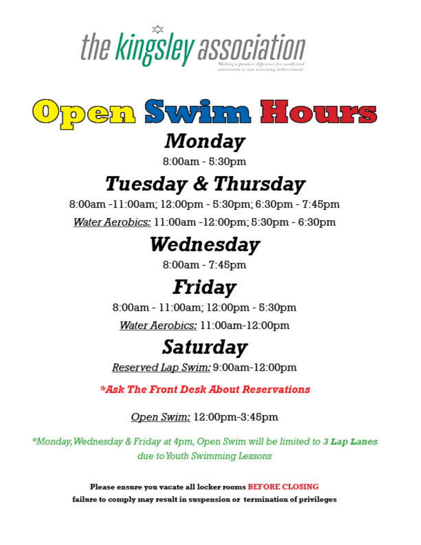



### Monday

8:00am - 5:30pm

## Tuesday & Thursday

8:00am -11:00am; 12:00pm - 5:30pm; 6:30pm - 7:45pm

Water Aerobics: 11:00am -12:00pm; 5:30pm - 6:30pm

## Wednesday

8:00am - 7:45pm

# **Friday**

8:00am - 11:00am; 12:00pm - 5:30pm

Water Aerobics: 11:00am-12:00pm

## Saturday

Reserved Lap Swim: 9:00am-12:00pm

*\*Ask The Front Desk About Reservations* 

Open Swim: 12:00pm-3:45pm

\*Monday, Wednesday & Friday at 4pm, Open Swim will be limited to 3 Lap Lanes due to Youth Swimming Lessons

> Please ensure you vacate all locker rooms BEFORE CLOSING failure to comply may result in suspension or termination of privileges